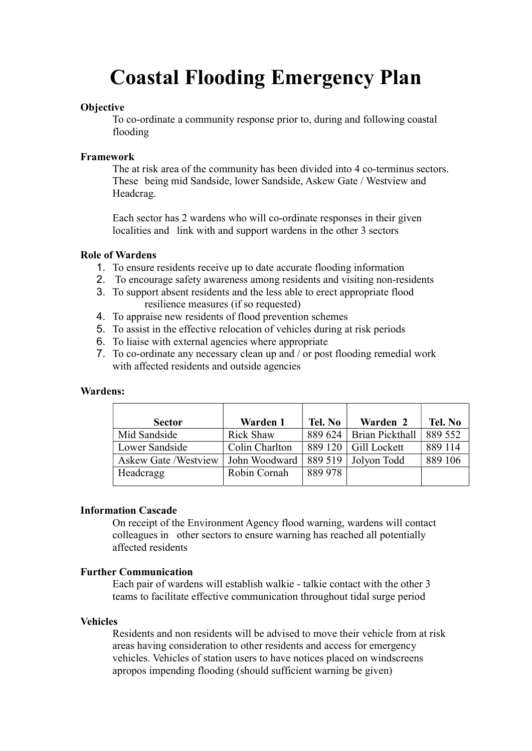# Coastal Flooding Emergency Plan

# **Objective**

 To co-ordinate a community response prior to, during and following coastal flooding

# Framework

 The at risk area of the community has been divided into 4 co-terminus sectors. These being mid Sandside, lower Sandside, Askew Gate / Westview and Headcrag.

 Each sector has 2 wardens who will co-ordinate responses in their given localities and link with and support wardens in the other 3 sectors

# Role of Wardens

- 1. To ensure residents receive up to date accurate flooding information
- 2. To encourage safety awareness among residents and visiting non-residents
- 3. To support absent residents and the less able to erect appropriate flood resilience measures (if so requested)
- 4. To appraise new residents of flood prevention schemes
- 5. To assist in the effective relocation of vehicles during at risk periods
- 6. To liaise with external agencies where appropriate
- 7. To co-ordinate any necessary clean up and / or post flooding remedial work with affected residents and outside agencies

# Wardens:

| <b>Sector</b>               | Warden 1         | Tel. No | Warden 2                    | Tel. No |
|-----------------------------|------------------|---------|-----------------------------|---------|
| Mid Sandside                | <b>Rick Shaw</b> | 889 624 | <b>Brian Pickthall</b>      | 889 552 |
| Lower Sandside              | Colin Charlton   |         | 889 120 $\mid$ Gill Lockett | 889 114 |
| <b>Askew Gate /Westview</b> | John Woodward    |         | $889519$ Jolyon Todd        | 889 106 |
| Headcragg                   | Robin Cornah     | 889 978 |                             |         |

# Information Cascade

 On receipt of the Environment Agency flood warning, wardens will contact colleagues in other sectors to ensure warning has reached all potentially affected residents

# Further Communication

 Each pair of wardens will establish walkie - talkie contact with the other 3 teams to facilitate effective communication throughout tidal surge period

# Vehicles

 Residents and non residents will be advised to move their vehicle from at risk areas having consideration to other residents and access for emergency vehicles. Vehicles of station users to have notices placed on windscreens apropos impending flooding (should sufficient warning be given)